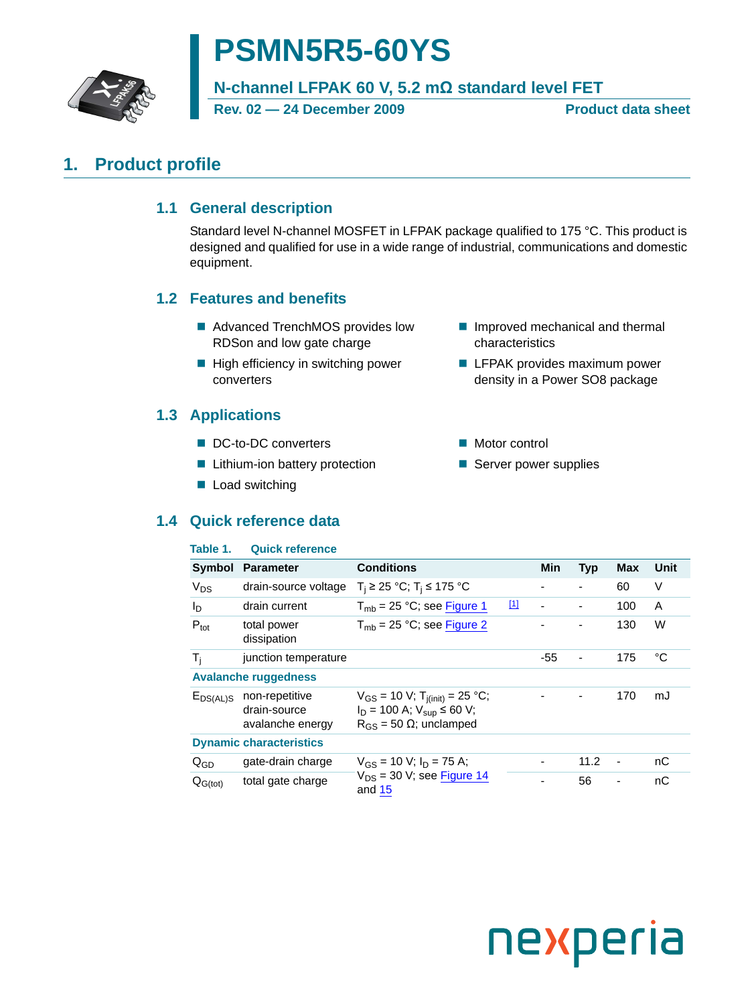

# **PSMN5R5-60YS**

**N-channel LFPAK 60 V, 5.2 mΩ standard level FET**

**Rev. 02 — 24 December 2009 Product data sheet**

### <span id="page-0-1"></span><span id="page-0-0"></span>**1. Product profile**

### **1.1 General description**

Standard level N-channel MOSFET in LFPAK package qualified to 175 °C. This product is designed and qualified for use in a wide range of industrial, communications and domestic equipment.

### <span id="page-0-2"></span>**1.2 Features and benefits**

- Advanced TrenchMOS provides low RDSon and low gate charge
- $\blacksquare$  High efficiency in switching power converters

### <span id="page-0-3"></span>**1.3 Applications**

- DC-to-DC converters
- **Lithium-ion battery protection**
- **Load switching**

### <span id="page-0-4"></span>**1.4 Quick reference data**

#### **Table 1. Quick reference**

- **Improved mechanical and thermal** characteristics
- **LFPAK provides maximum power** density in a Power SO8 package

nexperia

- **Motor control**
- Server power supplies

|                  | Symbol Parameter                                   | <b>Conditions</b>                                                                                                          |             | <b>Min</b> | <b>Typ</b>               | <b>Max</b>     | Unit |
|------------------|----------------------------------------------------|----------------------------------------------------------------------------------------------------------------------------|-------------|------------|--------------------------|----------------|------|
| $V_{DS}$         | drain-source voltage                               | $T_i$ ≥ 25 °C; T <sub>i</sub> ≤ 175 °C                                                                                     |             |            | $\overline{\phantom{a}}$ | 60             | V    |
| Iь               | drain current                                      | $T_{mb}$ = 25 °C; see Figure 1                                                                                             | $\boxed{1}$ |            |                          | 100            | A    |
| $P_{\text{tot}}$ | total power<br>dissipation                         | $T_{\rm mb}$ = 25 °C; see Figure 2                                                                                         |             |            |                          | 130            | W    |
| T <sub>i</sub>   | junction temperature                               |                                                                                                                            |             | -55        | -                        | 175            | °C   |
|                  | <b>Avalanche ruggedness</b>                        |                                                                                                                            |             |            |                          |                |      |
| $E_{DS(AL)S}$    | non-repetitive<br>drain-source<br>avalanche energy | $V_{GS}$ = 10 V; T <sub>i(init)</sub> = 25 °C;<br>$I_D = 100$ A; $V_{sup} \le 60$ V;<br>$R_{GS}$ = 50 $\Omega$ ; unclamped |             |            |                          | 170            | mJ   |
|                  | <b>Dynamic characteristics</b>                     |                                                                                                                            |             |            |                          |                |      |
| $Q_{GD}$         | gate-drain charge                                  | $V_{GS}$ = 10 V; $I_D$ = 75 A;                                                                                             |             |            | 11.2                     | $\blacksquare$ | пC   |
| $Q_{G(tot)}$     | total gate charge                                  | $V_{DS}$ = 30 V; see Figure 14<br>and $15$                                                                                 |             |            | 56                       |                | nC   |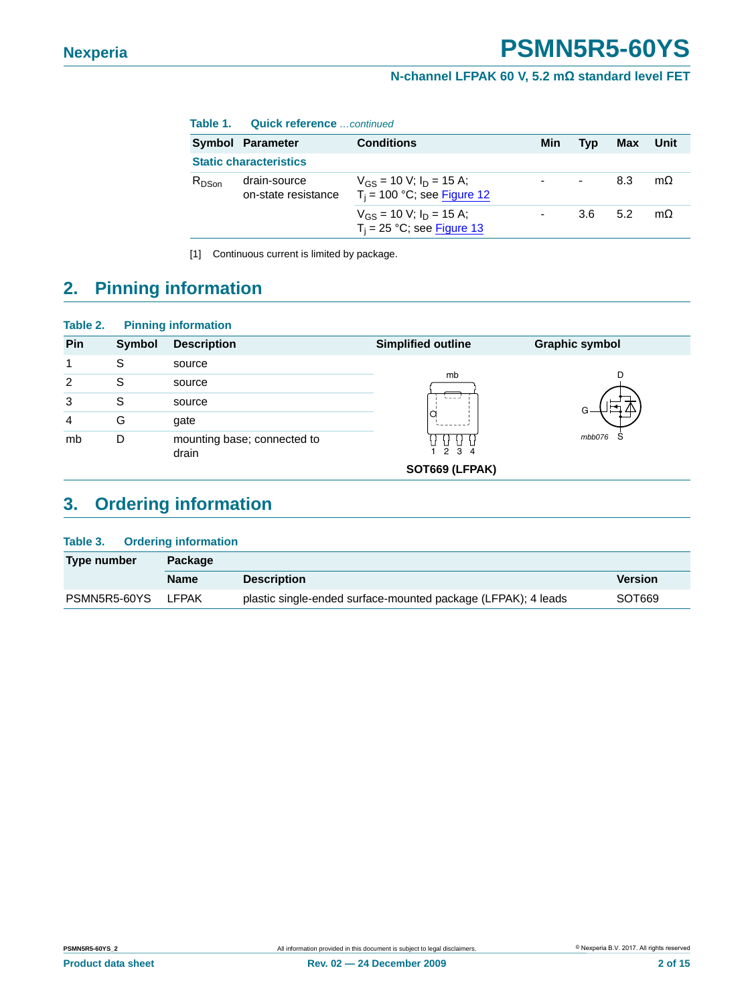|            | Table 1. Quick reference  continued |                                                                 |                         |        |            |           |
|------------|-------------------------------------|-----------------------------------------------------------------|-------------------------|--------|------------|-----------|
|            | Symbol Parameter                    | <b>Conditions</b>                                               | Min                     | Tvp    | <b>Max</b> | Unit      |
|            | <b>Static characteristics</b>       |                                                                 |                         |        |            |           |
| $R_{DSon}$ | drain-source<br>on-state resistance | $V_{GS}$ = 10 V; $I_D$ = 15 A;<br>$T_i$ = 100 °C; see Figure 12 | <b>Service Contract</b> | $\sim$ | 8.3        | mΩ        |
|            |                                     | $V_{GS}$ = 10 V; $I_D$ = 15 A;<br>$T_i = 25 °C$ ; see Figure 13 |                         | 3.6    | 5.2        | $m\Omega$ |

<span id="page-1-0"></span>[1] Continuous current is limited by package.

## <span id="page-1-1"></span>**2. Pinning information**

| Table 2.       |        | <b>Pinning information</b>           |                           |                       |
|----------------|--------|--------------------------------------|---------------------------|-----------------------|
| Pin            | Symbol | <b>Description</b>                   | <b>Simplified outline</b> | <b>Graphic symbol</b> |
| 1              | S      | source                               |                           |                       |
| $\overline{2}$ | S      | source                               | mb                        | D                     |
| 3              | S      | source                               | ----                      |                       |
| 4              | G      | gate                                 |                           |                       |
| mb             | D      | mounting base; connected to<br>drain | 234                       | mbb076<br>S           |
|                |        |                                      | SOT669 (LFPAK)            |                       |

# <span id="page-1-2"></span>**3. Ordering information**

#### **Table 3. Ordering information**

| Type number  | Package      |                                                               |         |
|--------------|--------------|---------------------------------------------------------------|---------|
|              | <b>Name</b>  | <b>Description</b>                                            | Version |
| PSMN5R5-60YS | <b>LEPAK</b> | plastic single-ended surface-mounted package (LFPAK); 4 leads | SOT669  |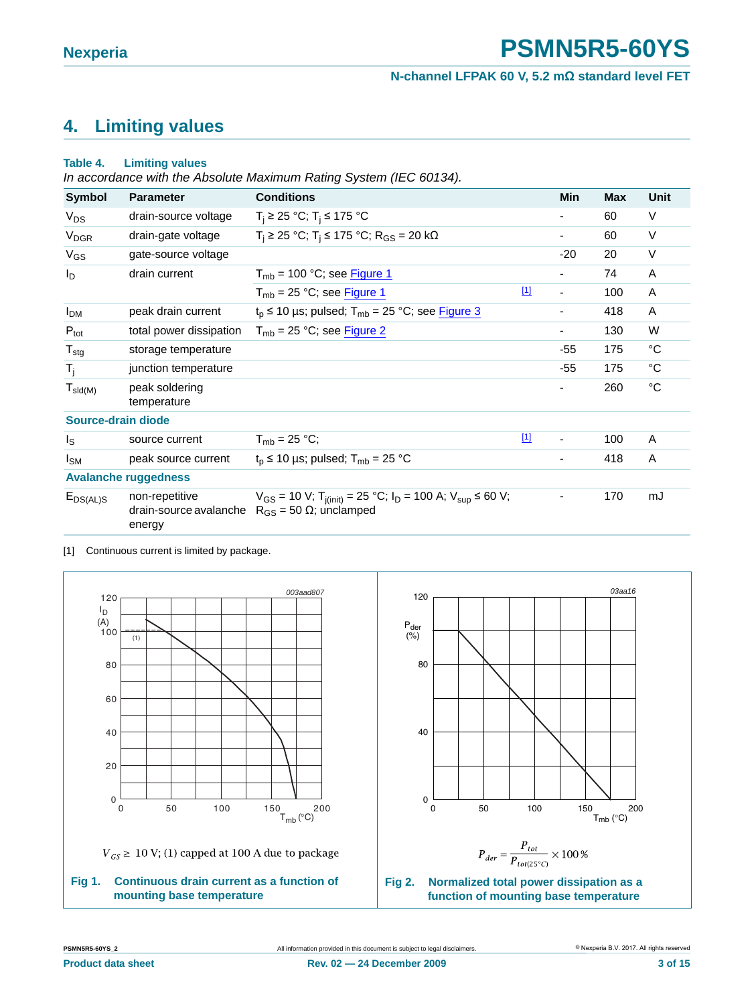### <span id="page-2-3"></span>**4. Limiting values**

#### **Table 4. Limiting values**

*In accordance with the Absolute Maximum Rating System (IEC 60134).*

| <b>Symbol</b>           | <b>Parameter</b>                                   | <b>Conditions</b>                                                                                                                     |       | Min   | <b>Max</b> | Unit   |
|-------------------------|----------------------------------------------------|---------------------------------------------------------------------------------------------------------------------------------------|-------|-------|------------|--------|
| <b>V<sub>DS</sub></b>   | drain-source voltage                               | $T_i$ ≥ 25 °C; T <sub>i</sub> ≤ 175 °C                                                                                                |       |       | 60         | $\vee$ |
| <b>V<sub>DGR</sub></b>  | drain-gate voltage                                 | $T_i$ ≥ 25 °C; T <sub>i</sub> ≤ 175 °C; R <sub>GS</sub> = 20 kΩ                                                                       |       | ٠     | 60         | V      |
| $V_{GS}$                | gate-source voltage                                |                                                                                                                                       |       | $-20$ | 20         | V      |
| I <sub>D</sub>          | drain current                                      | $T_{mb}$ = 100 °C; see Figure 1                                                                                                       |       |       | 74         | A      |
|                         |                                                    | $T_{mb}$ = 25 °C; see Figure 1                                                                                                        | $[1]$ | ٠     | 100        | A      |
| <b>I</b> <sub>DM</sub>  | peak drain current                                 | $t_p \le 10$ µs; pulsed; $T_{mb} = 25$ °C; see Figure 3                                                                               |       |       | 418        | A      |
| $P_{\text{tot}}$        | total power dissipation                            | $T_{mb}$ = 25 °C; see Figure 2                                                                                                        |       | ٠     | 130        | W      |
| $T_{\text{stg}}$        | storage temperature                                |                                                                                                                                       |       | $-55$ | 175        | °C     |
| $T_{\rm i}$             | junction temperature                               |                                                                                                                                       |       | $-55$ | 175        | °C     |
| $T_{\text{sld(M)}}$     | peak soldering<br>temperature                      |                                                                                                                                       |       |       | 260        | °C     |
| Source-drain diode      |                                                    |                                                                                                                                       |       |       |            |        |
| $\mathsf{I}_\mathsf{S}$ | source current                                     | $T_{mb} = 25 °C;$                                                                                                                     | $[1]$ |       | 100        | A      |
| $I_{SM}$                | peak source current                                | $t_{p} \le 10$ µs; pulsed; $T_{mb} = 25$ °C                                                                                           |       |       | 418        | A      |
|                         | <b>Avalanche ruggedness</b>                        |                                                                                                                                       |       |       |            |        |
| $E_{DS(AL)S}$           | non-repetitive<br>drain-source avalanche<br>energy | $V_{GS}$ = 10 V; T <sub>i(init)</sub> = 25 °C; I <sub>D</sub> = 100 A; V <sub>sup</sub> ≤ 60 V;<br>$R_{GS}$ = 50 $\Omega$ ; unclamped |       |       | 170        | mJ     |

<span id="page-2-2"></span><span id="page-2-1"></span>[1] Continuous current is limited by package.

<span id="page-2-0"></span>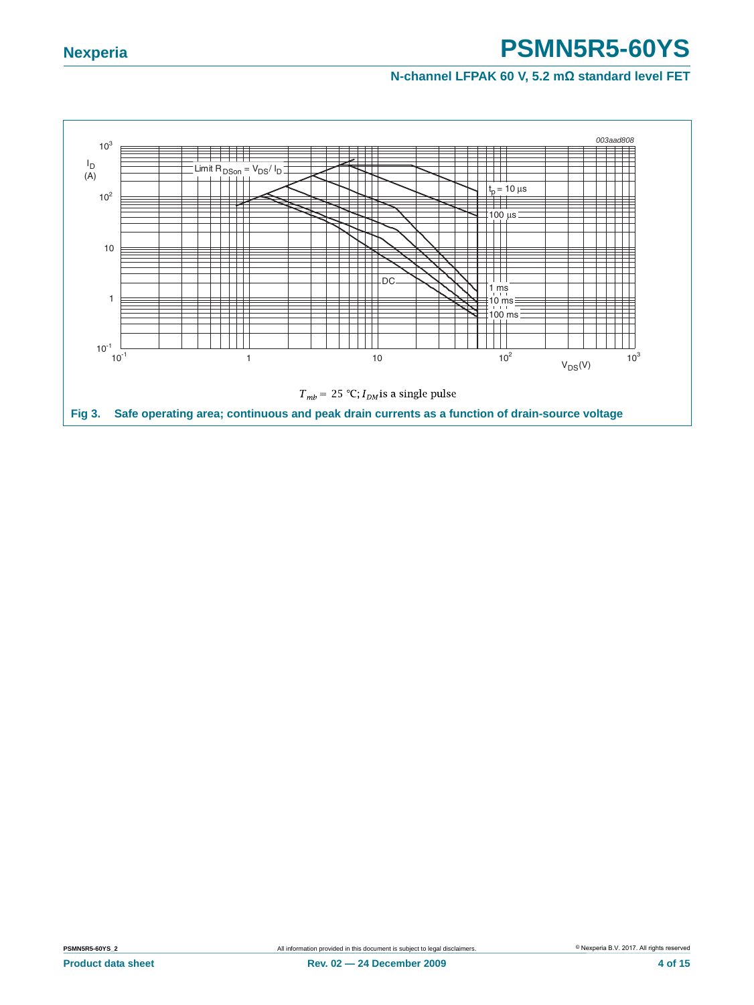<span id="page-3-0"></span>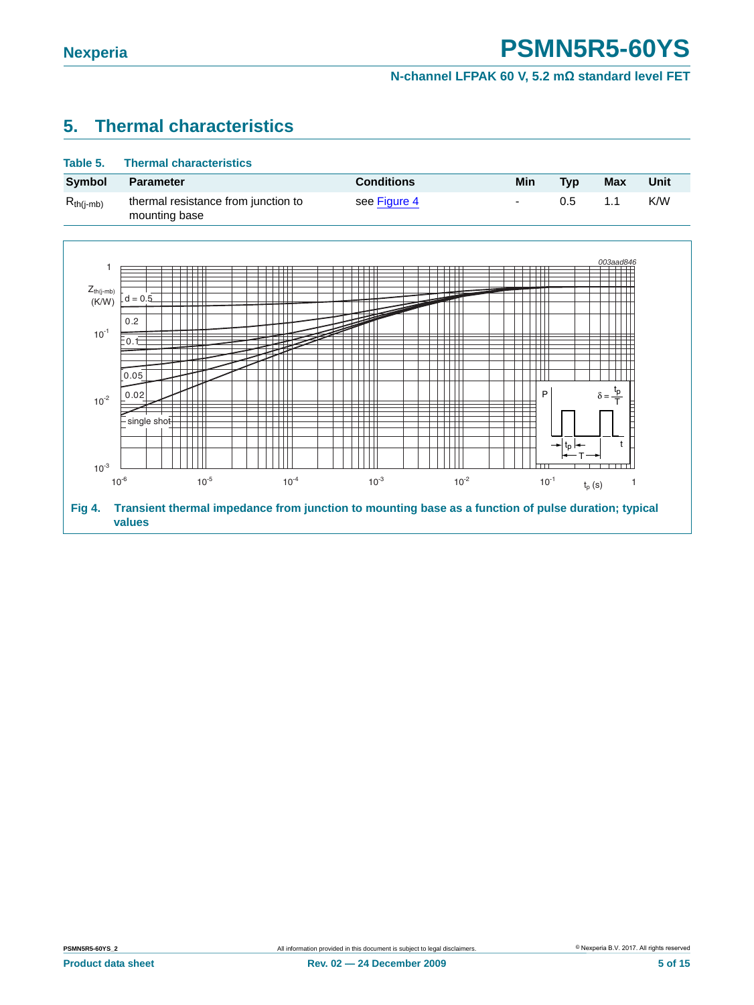# <span id="page-4-1"></span>**5. Thermal characteristics**

| Table 5.       | <b>Thermal characteristics</b>                       |                   |     |     |     |      |
|----------------|------------------------------------------------------|-------------------|-----|-----|-----|------|
| Symbol         | <b>Parameter</b>                                     | <b>Conditions</b> | Min | Typ | Max | Unit |
| $R_{th(i-mb)}$ | thermal resistance from junction to<br>mounting base | see Figure 4      | -   | 0.5 | 1.1 | K/W  |
|                |                                                      |                   |     |     |     |      |

<span id="page-4-0"></span>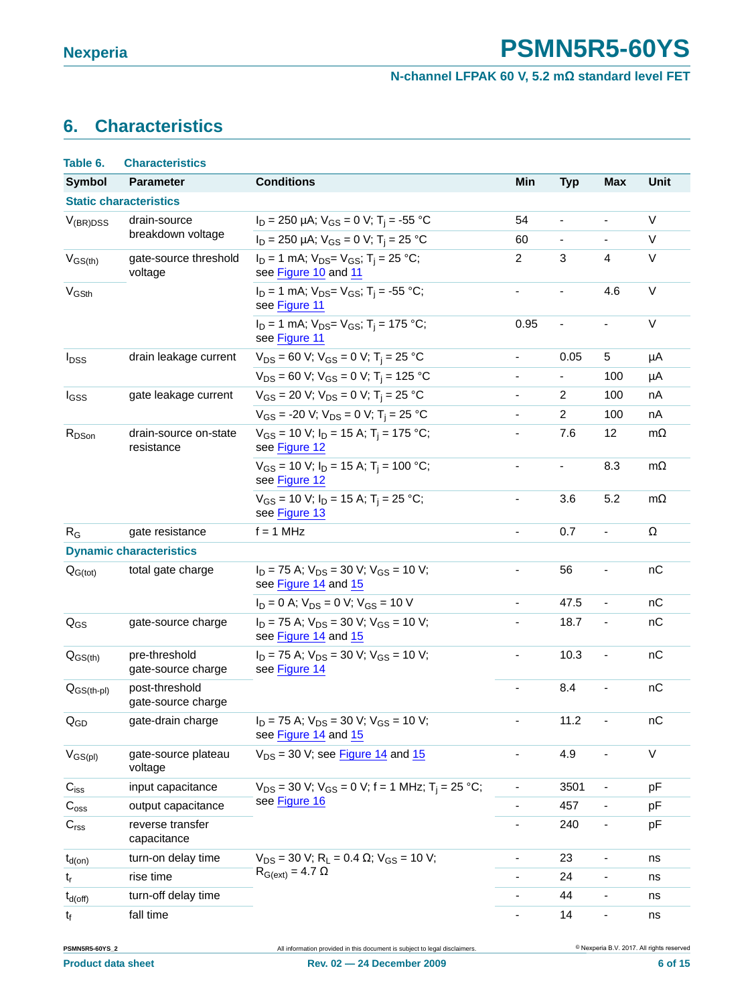# <span id="page-5-0"></span>**6. Characteristics**

| Table 6.                | <b>Characteristics</b>               |                                                                                   |                              |                          |                          |             |
|-------------------------|--------------------------------------|-----------------------------------------------------------------------------------|------------------------------|--------------------------|--------------------------|-------------|
| <b>Symbol</b>           | <b>Parameter</b>                     | <b>Conditions</b>                                                                 | Min                          | <b>Typ</b>               | <b>Max</b>               | <b>Unit</b> |
|                         | <b>Static characteristics</b>        |                                                                                   |                              |                          |                          |             |
| $V_{(BR)DSS}$           | drain-source                         | $I_D = 250 \mu A$ ; $V_{GS} = 0 V$ ; T <sub>i</sub> = -55 °C                      | 54                           | $\overline{\phantom{a}}$ | ä,                       | V           |
|                         | breakdown voltage                    | $I_D = 250 \mu A$ ; $V_{GS} = 0 V$ ; T <sub>i</sub> = 25 °C                       | 60                           | $\blacksquare$           | $\overline{\phantom{a}}$ | V           |
| $V_{GS(th)}$            | gate-source threshold<br>voltage     | $I_D = 1$ mA; $V_{DS} = V_{GS}$ ; T <sub>i</sub> = 25 °C;<br>see Figure 10 and 11 | $\overline{2}$               | 3                        | 4                        | $\vee$      |
| V <sub>GSth</sub>       |                                      | $I_D = 1$ mA; $V_{DS} = V_{GS}$ ; T <sub>i</sub> = -55 °C;<br>see Figure 11       | $\qquad \qquad \blacksquare$ | -                        | 4.6                      | $\vee$      |
|                         |                                      | $I_D = 1$ mA; $V_{DS} = V_{GS}$ ; T <sub>i</sub> = 175 °C;<br>see Figure 11       | 0.95                         | $\frac{1}{2}$            | $\overline{\phantom{a}}$ | V           |
| <b>I</b> <sub>DSS</sub> | drain leakage current                | $V_{DS}$ = 60 V; $V_{GS}$ = 0 V; T <sub>i</sub> = 25 °C                           | $\overline{\phantom{a}}$     | 0.05                     | 5                        | μA          |
|                         |                                      | $V_{DS}$ = 60 V; V <sub>GS</sub> = 0 V; T <sub>i</sub> = 125 °C                   | $\qquad \qquad \blacksquare$ | ä,                       | 100                      | μA          |
| I <sub>GSS</sub>        | gate leakage current                 | $V_{GS}$ = 20 V; $V_{DS}$ = 0 V; T <sub>i</sub> = 25 °C                           |                              | $\overline{2}$           | 100                      | nA          |
|                         |                                      | $V_{GS}$ = -20 V; $V_{DS}$ = 0 V; T <sub>i</sub> = 25 °C                          | $\overline{\phantom{0}}$     | $\overline{2}$           | 100                      | nA          |
| R <sub>DSon</sub>       | drain-source on-state<br>resistance  | $V_{GS}$ = 10 V; $I_D$ = 15 A; T <sub>i</sub> = 175 °C;<br>see Figure 12          |                              | 7.6                      | 12                       | $m\Omega$   |
|                         |                                      | $V_{GS}$ = 10 V; $I_D$ = 15 A; T <sub>i</sub> = 100 °C;<br>see Figure 12          | $\frac{1}{2}$                | $\overline{\phantom{a}}$ | 8.3                      | $m\Omega$   |
|                         |                                      | $V_{GS}$ = 10 V; $I_D$ = 15 A; T <sub>i</sub> = 25 °C;<br>see Figure 13           | $\frac{1}{2}$                | 3.6                      | 5.2                      | $m\Omega$   |
| $R_G$                   | gate resistance                      | $f = 1$ MHz                                                                       | $\overline{\phantom{0}}$     | 0.7                      | $\blacksquare$           | Ω           |
|                         | <b>Dynamic characteristics</b>       |                                                                                   |                              |                          |                          |             |
| $Q_{G(tot)}$            | total gate charge                    | $I_D$ = 75 A; $V_{DS}$ = 30 V; $V_{GS}$ = 10 V;<br>see Figure 14 and 15           | -                            | 56                       | ٠                        | nC          |
|                         |                                      | $I_D = 0$ A; $V_{DS} = 0$ V; $V_{GS} = 10$ V                                      | $\overline{\phantom{0}}$     | 47.5                     | $\blacksquare$           | nC          |
| $Q_{GS}$                | gate-source charge                   | $I_D$ = 75 A; $V_{DS}$ = 30 V; $V_{GS}$ = 10 V;<br>see Figure 14 and 15           |                              | 18.7                     |                          | nC          |
| $Q_{GS(th)}$            | pre-threshold<br>gate-source charge  | $I_D$ = 75 A; $V_{DS}$ = 30 V; $V_{GS}$ = 10 V;<br>see Figure 14                  | -                            | 10.3                     | Ĭ.                       | nC          |
| $Q_{GS(th-pl}$          | post-threshold<br>gate-source charge |                                                                                   | $\overline{\phantom{0}}$     | 8.4                      | ÷,                       | nC          |
| $Q_{GD}$                | gate-drain charge                    | $I_D$ = 75 A; $V_{DS}$ = 30 V; $V_{GS}$ = 10 V;<br>see Figure 14 and 15           |                              | 11.2                     | ÷,                       | nC          |
| $V_{GS(pl)}$            | gate-source plateau<br>voltage       | $V_{DS}$ = 30 V; see Figure 14 and 15                                             |                              | 4.9                      |                          | $\vee$      |
| $\mathbf{C}_{iss}$      | input capacitance                    | $V_{DS}$ = 30 V; $V_{GS}$ = 0 V; f = 1 MHz; T <sub>i</sub> = 25 °C;               |                              | 3501                     | $\overline{\phantom{a}}$ | pF          |
| $C_{\rm oss}$           | output capacitance                   | see Figure 16                                                                     | $\overline{\phantom{0}}$     | 457                      | $\overline{\phantom{a}}$ | рF          |
| $C_{\hbox{\tiny{ISS}}}$ | reverse transfer<br>capacitance      |                                                                                   | $\overline{\phantom{0}}$     | 240                      | $\overline{\phantom{0}}$ | pF          |
| $t_{d(on)}$             | turn-on delay time                   | $V_{DS}$ = 30 V; R <sub>L</sub> = 0.4 $\Omega$ ; V <sub>GS</sub> = 10 V;          |                              | 23                       | $\overline{\phantom{a}}$ | ns          |
| $t_r$                   | rise time                            | $R_{G(ext)} = 4.7 \Omega$                                                         |                              | 24                       |                          | ns          |
| $t_{d(off)}$            | turn-off delay time                  |                                                                                   |                              | 44                       | -                        | ns          |
| t <sub>f</sub>          | fall time                            |                                                                                   | -                            | 14                       | $\overline{\phantom{0}}$ | ns          |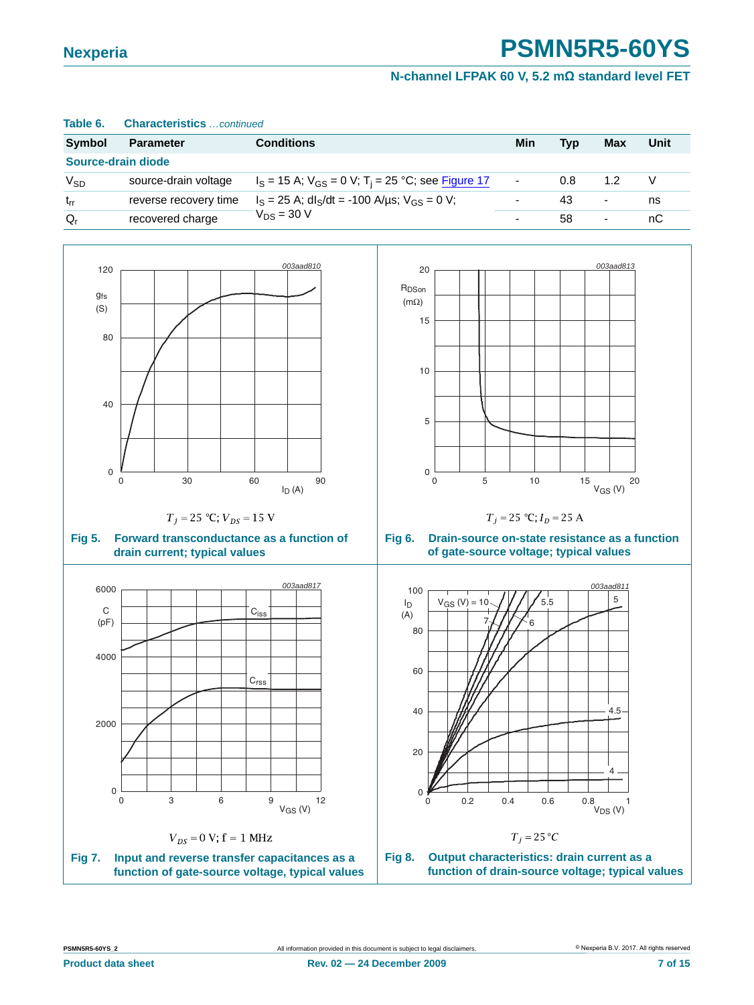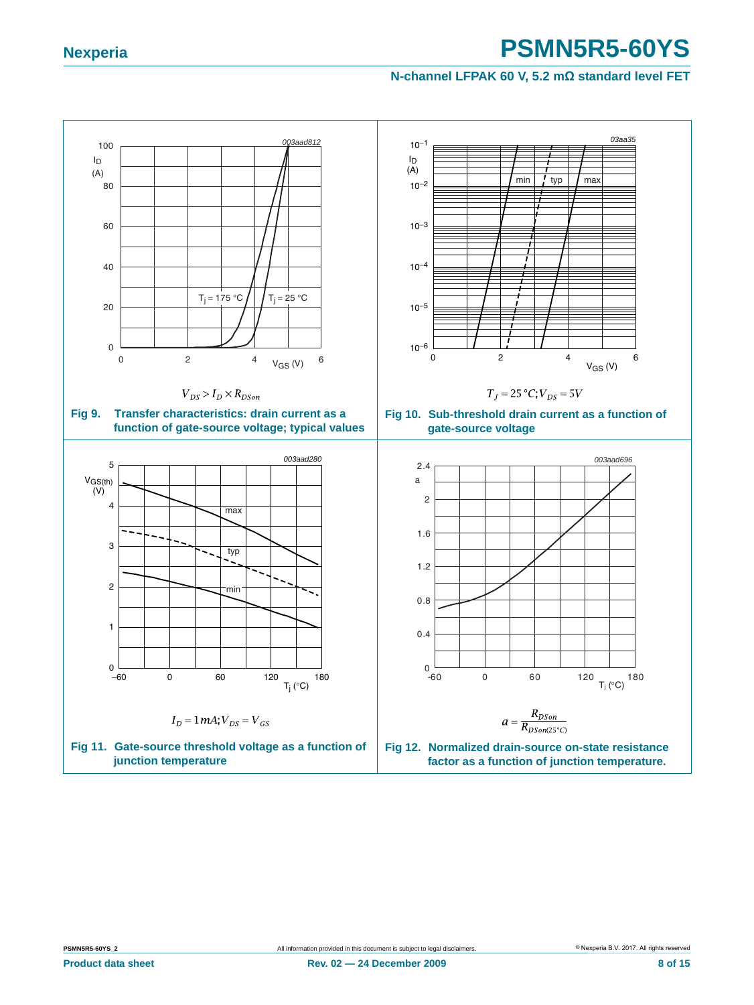<span id="page-7-2"></span><span id="page-7-1"></span><span id="page-7-0"></span>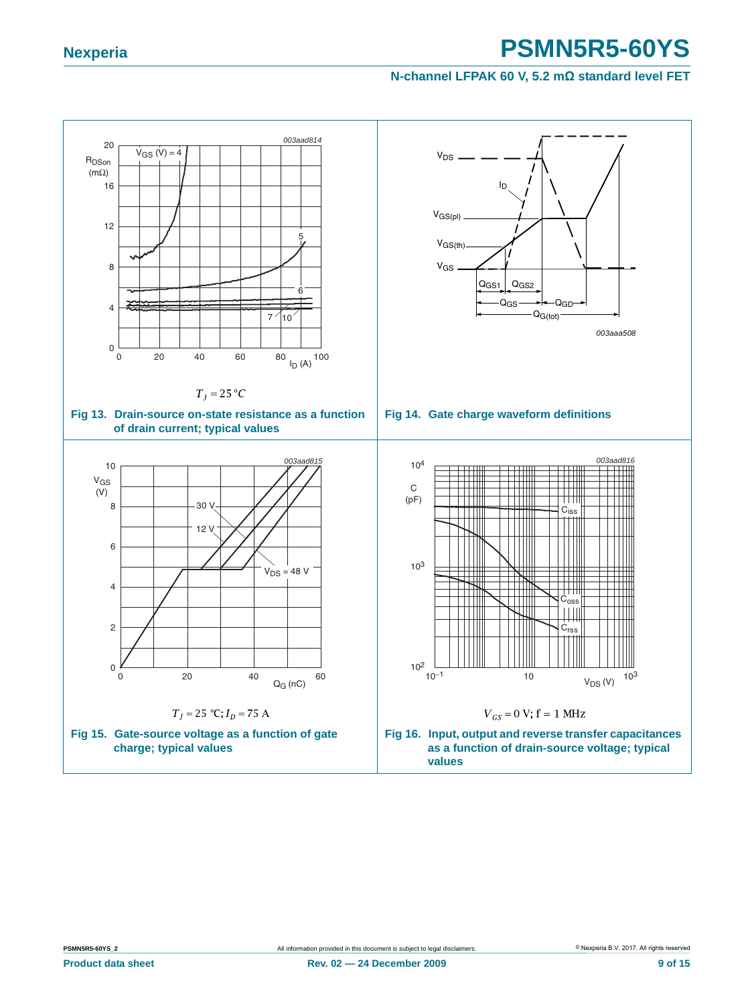<span id="page-8-3"></span><span id="page-8-2"></span><span id="page-8-1"></span><span id="page-8-0"></span>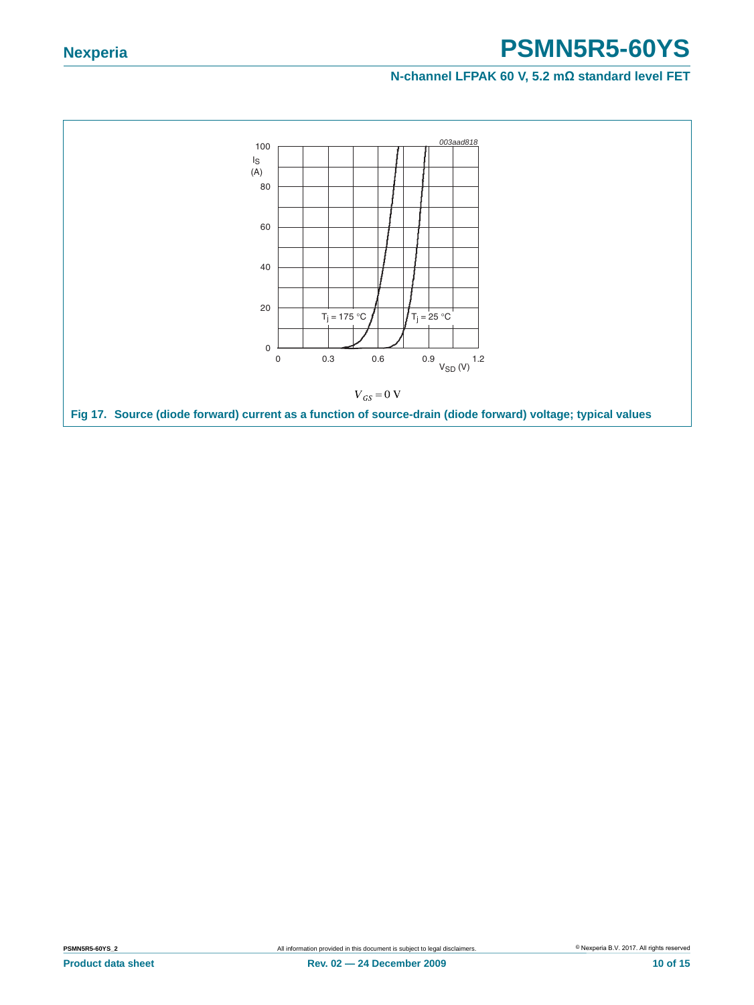<span id="page-9-0"></span>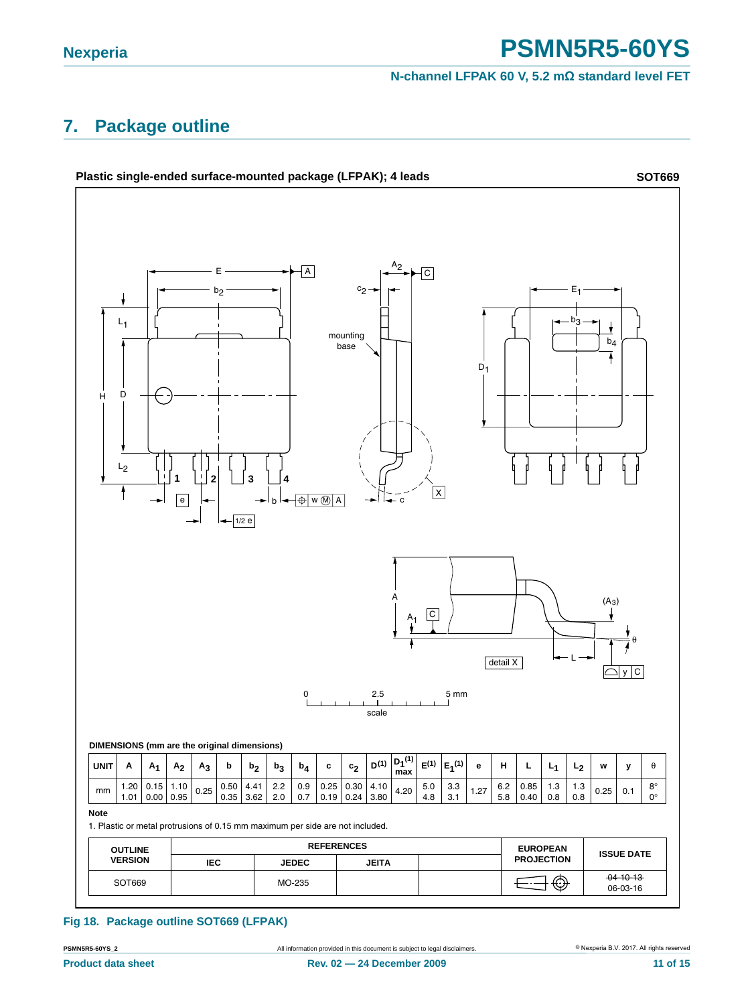### **N-channel LFPAK 60 V, 5.2 mΩ standard level FET**

# <span id="page-10-0"></span>**7. Package outline**



### **Fig 18. Package outline SOT669 (LFPAK)**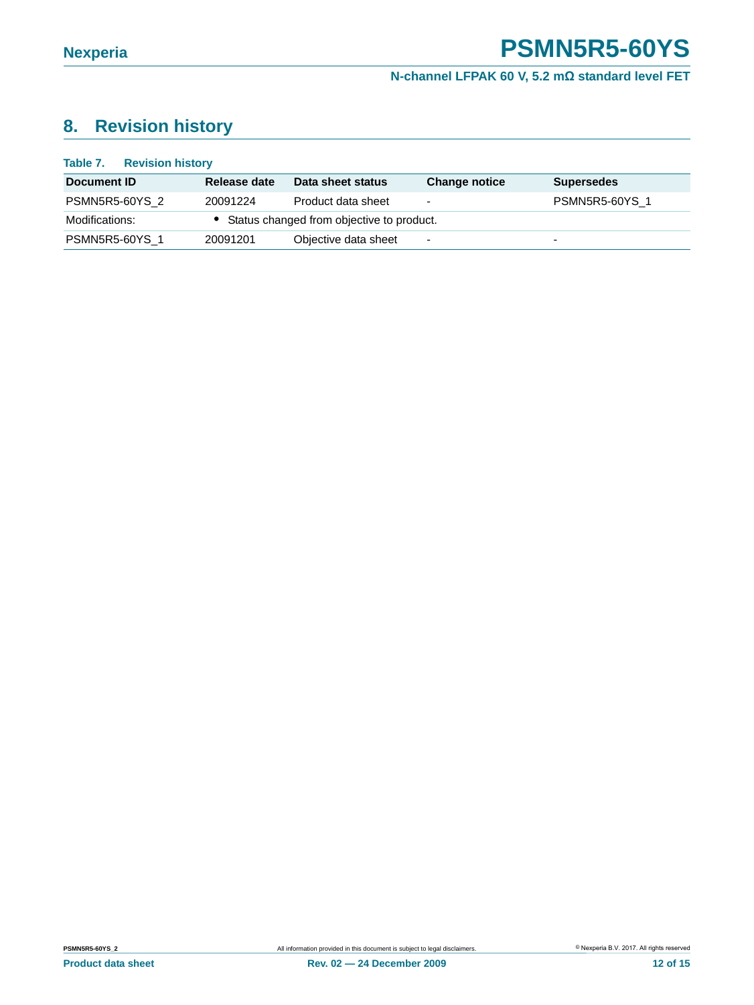## <span id="page-11-0"></span>**8. Revision history**

### **Table 7. Revision history**

| Document <b>ID</b>    | Release date | Data sheet status                           | <b>Change notice</b>     | <b>Supersedes</b>        |
|-----------------------|--------------|---------------------------------------------|--------------------------|--------------------------|
| <b>PSMN5R5-60YS 2</b> | 20091224     | Product data sheet                          | $\overline{\phantom{0}}$ | PSMN5R5-60YS 1           |
| Modifications:        |              | • Status changed from objective to product. |                          |                          |
| <b>PSMN5R5-60YS 1</b> | 20091201     | Objective data sheet                        | $\overline{\phantom{a}}$ | $\overline{\phantom{0}}$ |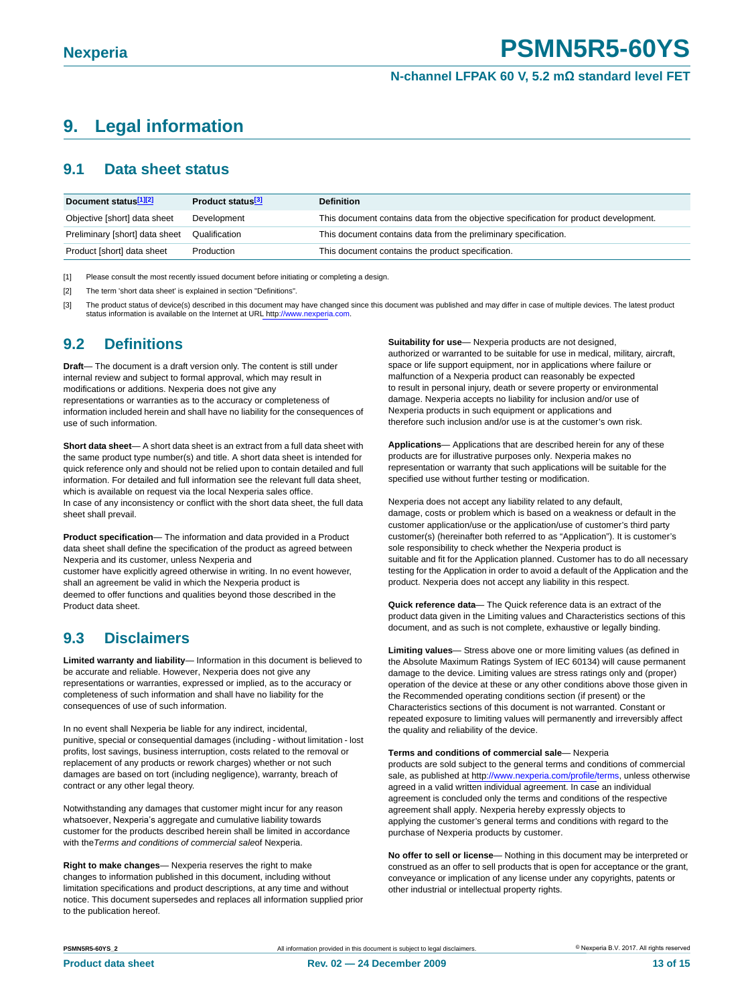# <span id="page-12-3"></span>**9. Legal information**

### <span id="page-12-4"></span>**9.1 Data sheet status**

| Document status <sup>[1][2]</sup> | Product status <sup>[3]</sup> | <b>Definition</b>                                                                     |
|-----------------------------------|-------------------------------|---------------------------------------------------------------------------------------|
| Objective [short] data sheet      | Development                   | This document contains data from the objective specification for product development. |
| Preliminary [short] data sheet    | Qualification                 | This document contains data from the preliminary specification.                       |
| Product [short] data sheet        | Production                    | This document contains the product specification.                                     |
|                                   |                               |                                                                                       |

<span id="page-12-0"></span>[1] Please consult the most recently issued document before initiating or completing a design.

<span id="page-12-1"></span>[2] The term 'short data sheet' is explained in section "Definitions".

<span id="page-12-2"></span>[3] The product status of device(s) described in this document may have changed since this document was published and may differ in case of multiple devices. The latest product status information is available on the Internet at URL http://www.nexperia.com.

### <span id="page-12-5"></span>**9.2 Definitions**

**Draft**— The document is a draft version only. The content is still under internal review and subject to formal approval, which may result in modifications or additions. Nexperia does not give any representations or warranties as to the accuracy or completeness of information included herein and shall have no liability for the consequences of use of such information.

**Short data sheet**— A short data sheet is an extract from a full data sheet with the same product type number(s) and title. A short data sheet is intended for quick reference only and should not be relied upon to contain detailed and full information. For detailed and full information see the relevant full data sheet, which is available on request via the local Nexperia sales office.

In case of any inconsistency or conflict with the short data sheet, the full data sheet shall prevail.

**Product specification**— The information and data provided in a Product data sheet shall define the specification of the product as agreed between Nexperia and its customer, unless Nexperia and

customer have explicitly agreed otherwise in writing. In no event however, shall an agreement be valid in which the Nexperia product is deemed to offer functions and qualities beyond those described in the Product data sheet.

### <span id="page-12-6"></span>**9.3 Disclaimers**

**Limited warranty and liability**— Information in this document is believed to be accurate and reliable. However, Nexperia does not give any representations or warranties, expressed or implied, as to the accuracy or completeness of such information and shall have no liability for the consequences of use of such information.

In no event shall Nexperia be liable for any indirect, incidental, punitive, special or consequential damages (including - without limitation - lost profits, lost savings, business interruption, costs related to the removal or replacement of any products or rework charges) whether or not such damages are based on tort (including negligence), warranty, breach of contract or any other legal theory.

Notwithstanding any damages that customer might incur for any reason whatsoever, Nexperia's aggregate and cumulative liability towards customer for the products described herein shall be limited in accordance with the*Terms and conditions of commercial sale*of Nexperia.

**Right to make changes**— Nexperia reserves the right to make changes to information published in this document, including without limitation specifications and product descriptions, at any time and without notice. This document supersedes and replaces all information supplied prior to the publication hereof.

**Suitability for use**— Nexperia products are not designed. authorized or warranted to be suitable for use in medical, military, aircraft, space or life support equipment, nor in applications where failure or malfunction of a Nexperia product can reasonably be expected to result in personal injury, death or severe property or environmental damage. Nexperia accepts no liability for inclusion and/or use of Nexperia products in such equipment or applications and therefore such inclusion and/or use is at the customer's own risk.

**Applications**— Applications that are described herein for any of these products are for illustrative purposes only. Nexperia makes no representation or warranty that such applications will be suitable for the specified use without further testing or modification.

Nexperia does not accept any liability related to any default, damage, costs or problem which is based on a weakness or default in the customer application/use or the application/use of customer's third party customer(s) (hereinafter both referred to as "Application"). It is customer's sole responsibility to check whether the Nexperia product is suitable and fit for the Application planned. Customer has to do all necessary testing for the Application in order to avoid a default of the Application and the product. Nexperia does not accept any liability in this respect.

**Quick reference data**— The Quick reference data is an extract of the product data given in the Limiting values and Characteristics sections of this document, and as such is not complete, exhaustive or legally binding.

**Limiting values**— Stress above one or more limiting values (as defined in the Absolute Maximum Ratings System of IEC 60134) will cause permanent damage to the device. Limiting values are stress ratings only and (proper) operation of the device at these or any other conditions above those given in the Recommended operating conditions section (if present) or the Characteristics sections of this document is not warranted. Constant or repeated exposure to limiting values will permanently and irreversibly affect the quality and reliability of the device.

**Terms and conditions of commercial sale**— Nexperia

products are sold subject to the general terms and conditions of commercial sale, as published at http://www.nexperia.com/profile/terms, unless otherwise agreed in a valid written individual agreement. In case an individual agreement is concluded only the terms and conditions of the respective agreement shall apply. Nexperia hereby expressly objects to applying the customer's general terms and conditions with regard to the purchase of Nexperia products by customer.

**No offer to sell or license**— Nothing in this document may be interpreted or construed as an offer to sell products that is open for acceptance or the grant, conveyance or implication of any license under any copyrights, patents or other industrial or intellectual property rights.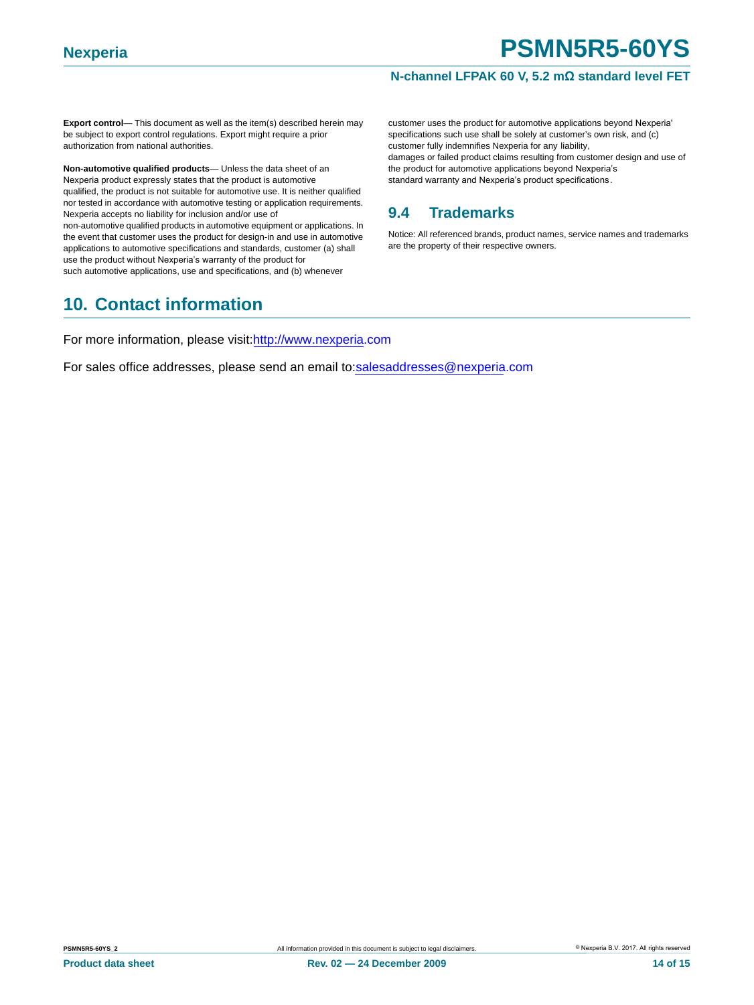**Export control**— This document as well as the item(s) described herein may be subject to export control regulations. Export might require a prior authorization from national authorities.

**Non-automotive qualified products**— Unless the data sheet of an Nexperia product expressly states that the product is automotive qualified, the product is not suitable for automotive use. It is neither qualified nor tested in accordance with automotive testing or application requirements. Nexperia accepts no liability for inclusion and/or use of

non-automotive qualified products in automotive equipment or applications. In the event that customer uses the product for design-in and use in automotive applications to automotive specifications and standards, customer (a) shall use the product without Nexperia's warranty of the product for such automotive applications, use and specifications, and (b) whenever

## <span id="page-13-1"></span>**10. Contact information**

customer uses the product for automotive applications beyond Nexperia' specifications such use shall be solely at customer's own risk, and (c) customer fully indemnifies Nexperia for any liability, damages or failed product claims resulting from customer design and use of the product for automotive applications beyond Nexperia's standard warranty and Nexperia's product specifications.

### <span id="page-13-0"></span>**9.4 Trademarks**

Notice: All referenced brands, product names, service names and trademarks are the property of their respective owners.

For more information, please visit:http://www.nexperia.com

For sales office addresses, please send an email to:salesaddresses@nexperia.com